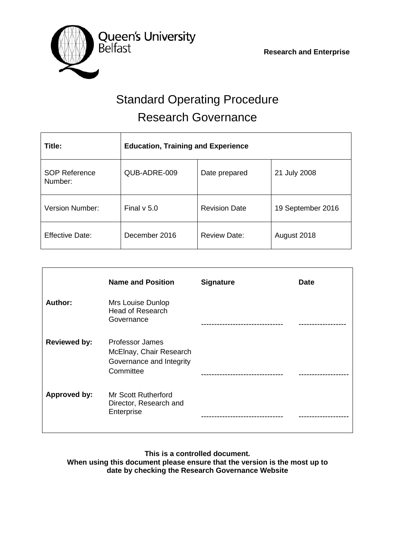

# Standard Operating Procedure Research Governance

| Title:                          | <b>Education, Training and Experience</b> |                      |                   |  |
|---------------------------------|-------------------------------------------|----------------------|-------------------|--|
| <b>SOP Reference</b><br>Number: | QUB-ADRE-009                              | Date prepared        | 21 July 2008      |  |
| <b>Version Number:</b>          | Final $v$ 5.0                             | <b>Revision Date</b> | 19 September 2016 |  |
| <b>Effective Date:</b>          | December 2016                             | <b>Review Date:</b>  | August 2018       |  |

|                     | <b>Name and Position</b>                                                            | <b>Signature</b> | <b>Date</b> |
|---------------------|-------------------------------------------------------------------------------------|------------------|-------------|
| Author:             | Mrs Louise Dunlop<br><b>Head of Research</b><br>Governance                          |                  |             |
| <b>Reviewed by:</b> | Professor James<br>McElnay, Chair Research<br>Governance and Integrity<br>Committee |                  |             |
| <b>Approved by:</b> | <b>Mr Scott Rutherford</b><br>Director, Research and<br>Enterprise                  |                  |             |

**This is a controlled document. When using this document please ensure that the version is the most up to date by checking the Research Governance Website**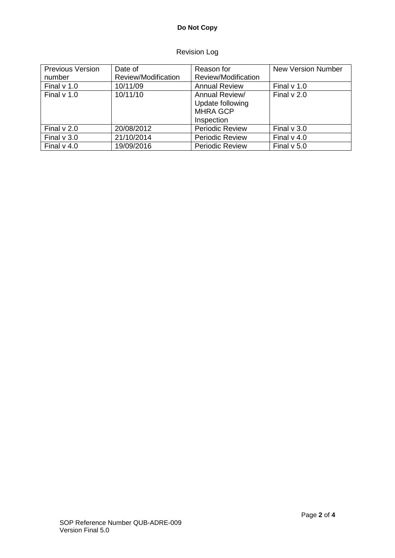## **Do Not Copy**

## Revision Log

| <b>Previous Version</b> | Date of             | Reason for             | <b>New Version Number</b> |
|-------------------------|---------------------|------------------------|---------------------------|
| number                  | Review/Modification | Review/Modification    |                           |
| Final $v$ 1.0           | 10/11/09            | <b>Annual Review</b>   | Final $v$ 1.0             |
| Final $v$ 1.0           | 10/11/10            | Annual Review/         | Final $v$ 2.0             |
|                         |                     | Update following       |                           |
|                         |                     | <b>MHRA GCP</b>        |                           |
|                         |                     | Inspection             |                           |
| Final $v$ 2.0           | 20/08/2012          | <b>Periodic Review</b> | Final $v$ 3.0             |
| Final $v$ 3.0           | 21/10/2014          | <b>Periodic Review</b> | Final $v$ 4.0             |
| Final $v$ 4.0           | 19/09/2016          | <b>Periodic Review</b> | Final $v$ 5.0             |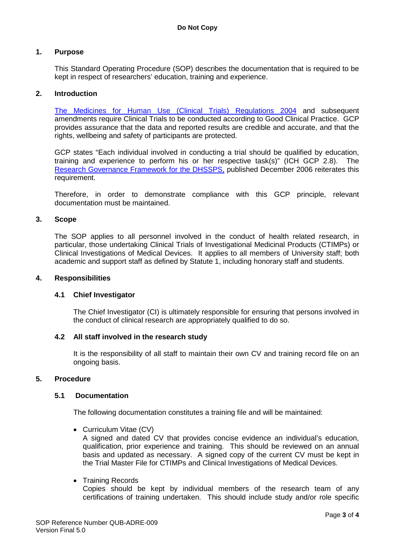### **1. Purpose**

This Standard Operating Procedure (SOP) describes the documentation that is required to be kept in respect of researchers' education, training and experience.

#### **2. Introduction**

[The Medicines for Human Use \(Clinical Trials\) Regulations 2004](http://www.opsi.gov.uk/si/si2004/20041031.htm) and subsequent amendments require Clinical Trials to be conducted according to Good Clinical Practice. GCP provides assurance that the data and reported results are credible and accurate, and that the rights, wellbeing and safety of participants are protected.

GCP states "Each individual involved in conducting a trial should be qualified by education, training and experience to perform his or her respective task(s)" (ICH GCP 2.8). The [Research Governance Framework for the DHSSPS,](http://www.health-ni.gov.uk/publications/research-governance-framework-health-and-social-care) published December 2006 reiterates this requirement.

Therefore, in order to demonstrate compliance with this GCP principle, relevant documentation must be maintained.

#### **3. Scope**

The SOP applies to all personnel involved in the conduct of health related research, in particular, those undertaking Clinical Trials of Investigational Medicinal Products (CTIMPs) or Clinical Investigations of Medical Devices. It applies to all members of University staff; both academic and support staff as defined by Statute 1, including honorary staff and students.

#### **4. Responsibilities**

#### **4.1 Chief Investigator**

The Chief Investigator (CI) is ultimately responsible for ensuring that persons involved in the conduct of clinical research are appropriately qualified to do so.

#### **4.2 All staff involved in the research study**

It is the responsibility of all staff to maintain their own CV and training record file on an ongoing basis.

#### **5. Procedure**

#### **5.1 Documentation**

The following documentation constitutes a training file and will be maintained:

• Curriculum Vitae (CV)

A signed and dated CV that provides concise evidence an individual's education, qualification, prior experience and training. This should be reviewed on an annual basis and updated as necessary. A signed copy of the current CV must be kept in the Trial Master File for CTIMPs and Clinical Investigations of Medical Devices.

• Training Records Copies should be kept by individual members of the research team of any certifications of training undertaken. This should include study and/or role specific